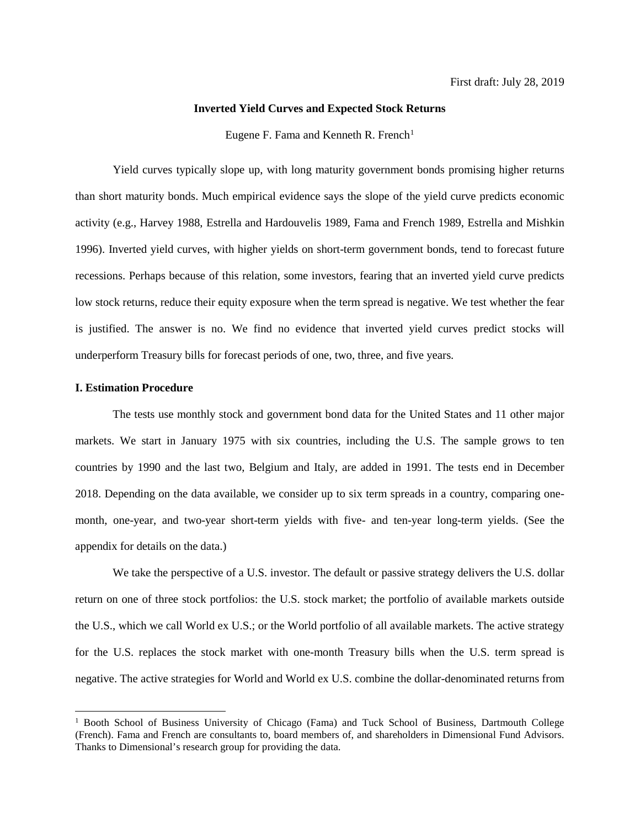# **Inverted Yield Curves and Expected Stock Returns**

Eugene F. Fama and Kenneth R. French<sup>[1](#page-0-0)</sup>

Yield curves typically slope up, with long maturity government bonds promising higher returns than short maturity bonds. Much empirical evidence says the slope of the yield curve predicts economic activity (e.g., Harvey 1988, Estrella and Hardouvelis 1989, Fama and French 1989, Estrella and Mishkin 1996). Inverted yield curves, with higher yields on short-term government bonds, tend to forecast future recessions. Perhaps because of this relation, some investors, fearing that an inverted yield curve predicts low stock returns, reduce their equity exposure when the term spread is negative. We test whether the fear is justified. The answer is no. We find no evidence that inverted yield curves predict stocks will underperform Treasury bills for forecast periods of one, two, three, and five years.

## **I. Estimation Procedure**

The tests use monthly stock and government bond data for the United States and 11 other major markets. We start in January 1975 with six countries, including the U.S. The sample grows to ten countries by 1990 and the last two, Belgium and Italy, are added in 1991. The tests end in December 2018. Depending on the data available, we consider up to six term spreads in a country, comparing onemonth, one-year, and two-year short-term yields with five- and ten-year long-term yields. (See the appendix for details on the data.)

We take the perspective of a U.S. investor. The default or passive strategy delivers the U.S. dollar return on one of three stock portfolios: the U.S. stock market; the portfolio of available markets outside the U.S., which we call World ex U.S.; or the World portfolio of all available markets. The active strategy for the U.S. replaces the stock market with one-month Treasury bills when the U.S. term spread is negative. The active strategies for World and World ex U.S. combine the dollar-denominated returns from

<span id="page-0-0"></span><sup>&</sup>lt;sup>1</sup> Booth School of Business University of Chicago (Fama) and Tuck School of Business, Dartmouth College (French). Fama and French are consultants to, board members of, and shareholders in Dimensional Fund Advisors. Thanks to Dimensional's research group for providing the data.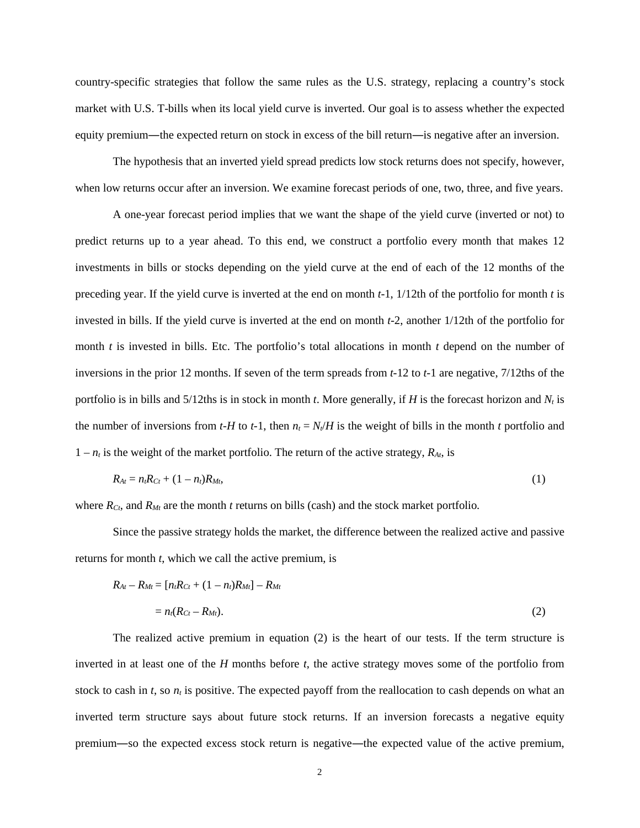country-specific strategies that follow the same rules as the U.S. strategy, replacing a country's stock market with U.S. T-bills when its local yield curve is inverted. Our goal is to assess whether the expected equity premium—the expected return on stock in excess of the bill return—is negative after an inversion.

The hypothesis that an inverted yield spread predicts low stock returns does not specify, however, when low returns occur after an inversion. We examine forecast periods of one, two, three, and five years.

A one-year forecast period implies that we want the shape of the yield curve (inverted or not) to predict returns up to a year ahead. To this end, we construct a portfolio every month that makes 12 investments in bills or stocks depending on the yield curve at the end of each of the 12 months of the preceding year. If the yield curve is inverted at the end on month *t*-1, 1/12th of the portfolio for month *t* is invested in bills. If the yield curve is inverted at the end on month *t*-2, another 1/12th of the portfolio for month *t* is invested in bills. Etc. The portfolio's total allocations in month *t* depend on the number of inversions in the prior 12 months. If seven of the term spreads from *t-*12 to *t-*1 are negative, 7/12ths of the portfolio is in bills and  $5/12$ ths is in stock in month *t*. More generally, if *H* is the forecast horizon and  $N_t$  is the number of inversions from  $t$ -H to  $t$ -1, then  $n_t = N_t/H$  is the weight of bills in the month  $t$  portfolio and  $1 - n_t$  is the weight of the market portfolio. The return of the active strategy,  $R_{At}$ , is

$$
R_{At} = n_{t}R_{Ct} + (1 - n_{t})R_{Mt},
$$
\n(1)

where *R<sub>Ct</sub>*, and *R<sub>Mt</sub>* are the month *t* returns on bills (cash) and the stock market portfolio.

Since the passive strategy holds the market, the difference between the realized active and passive returns for month *t*, which we call the active premium, is

$$
R_{At} - R_{Mt} = [n_t R_{Ct} + (1 - n_t)R_{Mt}] - R_{Mt}
$$
  
=  $n_t (R_{Ct} - R_{Mt}).$  (2)

The realized active premium in equation (2) is the heart of our tests. If the term structure is inverted in at least one of the *H* months before *t*, the active strategy moves some of the portfolio from stock to cash in  $t$ , so  $n_t$  is positive. The expected payoff from the reallocation to cash depends on what an inverted term structure says about future stock returns. If an inversion forecasts a negative equity premium―so the expected excess stock return is negative―the expected value of the active premium,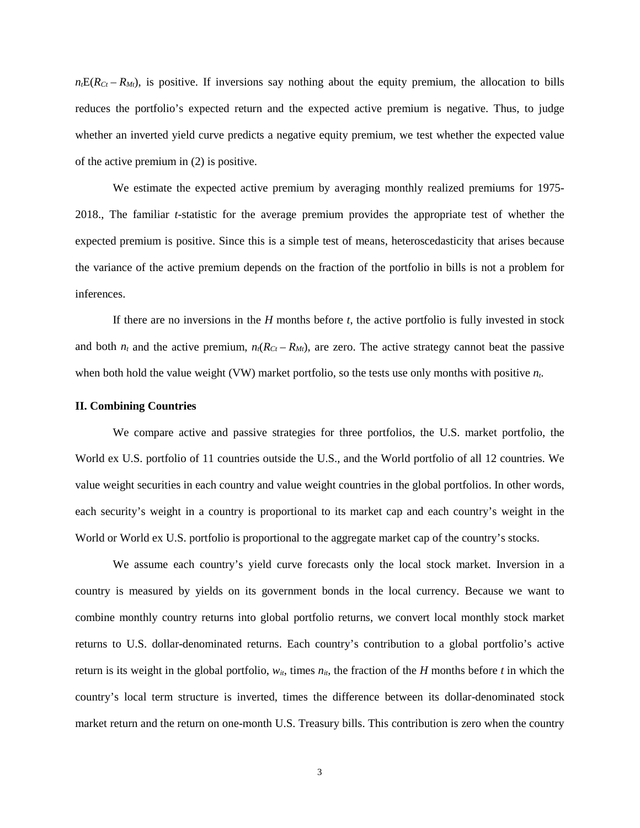$n_t E(R_{Ct} - R_M)$ , is positive. If inversions say nothing about the equity premium, the allocation to bills reduces the portfolio's expected return and the expected active premium is negative. Thus, to judge whether an inverted yield curve predicts a negative equity premium, we test whether the expected value of the active premium in (2) is positive.

We estimate the expected active premium by averaging monthly realized premiums for 1975- 2018., The familiar *t-*statistic for the average premium provides the appropriate test of whether the expected premium is positive. Since this is a simple test of means, heteroscedasticity that arises because the variance of the active premium depends on the fraction of the portfolio in bills is not a problem for inferences.

If there are no inversions in the *H* months before *t*, the active portfolio is fully invested in stock and both  $n_t$  and the active premium,  $n_t(R_{Ct} - R_{Mt})$ , are zero. The active strategy cannot beat the passive when both hold the value weight (VW) market portfolio, so the tests use only months with positive *nt*.

#### **II. Combining Countries**

We compare active and passive strategies for three portfolios, the U.S. market portfolio, the World ex U.S. portfolio of 11 countries outside the U.S., and the World portfolio of all 12 countries. We value weight securities in each country and value weight countries in the global portfolios. In other words, each security's weight in a country is proportional to its market cap and each country's weight in the World or World ex U.S. portfolio is proportional to the aggregate market cap of the country's stocks.

We assume each country's yield curve forecasts only the local stock market. Inversion in a country is measured by yields on its government bonds in the local currency. Because we want to combine monthly country returns into global portfolio returns, we convert local monthly stock market returns to U.S. dollar-denominated returns. Each country's contribution to a global portfolio's active return is its weight in the global portfolio,  $w_{it}$ , times  $n_{it}$ , the fraction of the *H* months before *t* in which the country's local term structure is inverted, times the difference between its dollar-denominated stock market return and the return on one-month U.S. Treasury bills. This contribution is zero when the country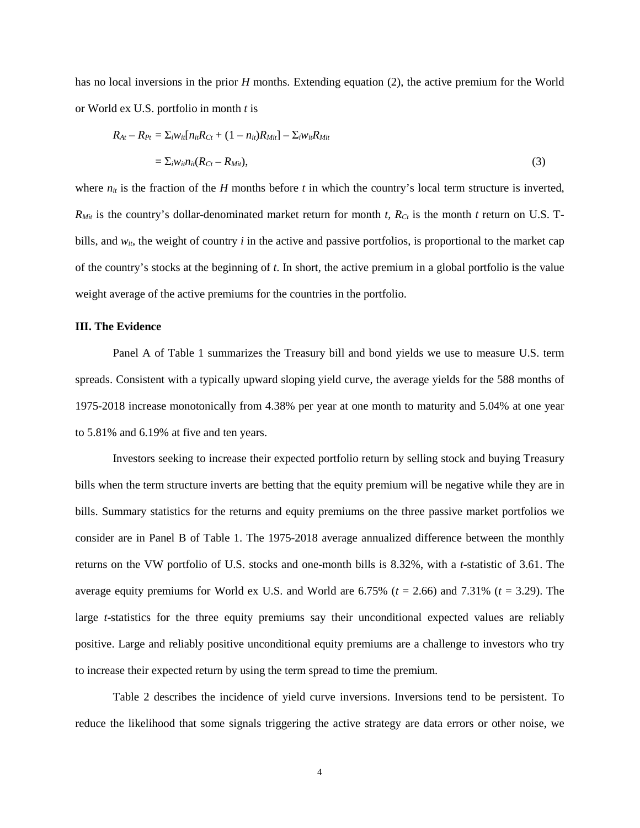has no local inversions in the prior *H* months. Extending equation (2), the active premium for the World or World ex U.S. portfolio in month *t* is

$$
R_{At} - R_{Pt} = \sum_{i} w_{ii} [n_{ii}R_{Ct} + (1 - n_{ii})R_{Mii}] - \sum_{i} w_{ii}R_{Mii}
$$
  
= 
$$
\sum_{i} w_{ii}n_{ii}(R_{Ct} - R_{Mii}),
$$
 (3)

where  $n_{it}$  is the fraction of the *H* months before *t* in which the country's local term structure is inverted,  $R_{Mit}$  is the country's dollar-denominated market return for month *t,*  $R_{Ct}$  is the month *t* return on U.S. Tbills, and  $w_{it}$ , the weight of country  $i$  in the active and passive portfolios, is proportional to the market cap of the country's stocks at the beginning of *t*. In short, the active premium in a global portfolio is the value weight average of the active premiums for the countries in the portfolio.

#### **III. The Evidence**

Panel A of Table 1 summarizes the Treasury bill and bond yields we use to measure U.S. term spreads. Consistent with a typically upward sloping yield curve, the average yields for the 588 months of 1975-2018 increase monotonically from 4.38% per year at one month to maturity and 5.04% at one year to 5.81% and 6.19% at five and ten years.

Investors seeking to increase their expected portfolio return by selling stock and buying Treasury bills when the term structure inverts are betting that the equity premium will be negative while they are in bills. Summary statistics for the returns and equity premiums on the three passive market portfolios we consider are in Panel B of Table 1. The 1975-2018 average annualized difference between the monthly returns on the VW portfolio of U.S. stocks and one-month bills is 8.32%, with a *t*-statistic of 3.61. The average equity premiums for World ex U.S. and World are 6.75% (*t* = 2.66) and 7.31% (*t* = 3.29). The large *t*-statistics for the three equity premiums say their unconditional expected values are reliably positive. Large and reliably positive unconditional equity premiums are a challenge to investors who try to increase their expected return by using the term spread to time the premium.

Table 2 describes the incidence of yield curve inversions. Inversions tend to be persistent. To reduce the likelihood that some signals triggering the active strategy are data errors or other noise, we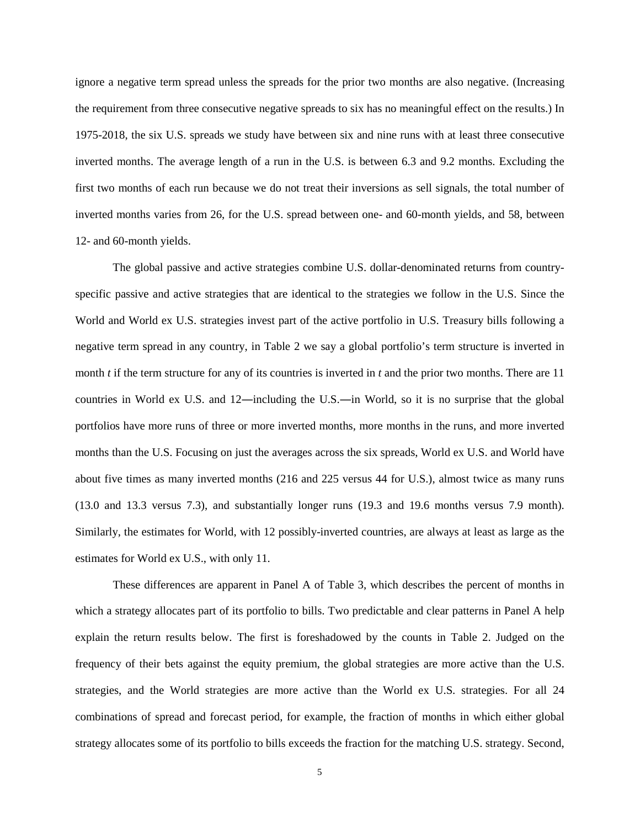ignore a negative term spread unless the spreads for the prior two months are also negative. (Increasing the requirement from three consecutive negative spreads to six has no meaningful effect on the results.) In 1975-2018, the six U.S. spreads we study have between six and nine runs with at least three consecutive inverted months. The average length of a run in the U.S. is between 6.3 and 9.2 months. Excluding the first two months of each run because we do not treat their inversions as sell signals, the total number of inverted months varies from 26, for the U.S. spread between one- and 60-month yields, and 58, between 12- and 60-month yields.

The global passive and active strategies combine U.S. dollar-denominated returns from countryspecific passive and active strategies that are identical to the strategies we follow in the U.S. Since the World and World ex U.S. strategies invest part of the active portfolio in U.S. Treasury bills following a negative term spread in any country, in Table 2 we say a global portfolio's term structure is inverted in month *t* if the term structure for any of its countries is inverted in *t* and the prior two months. There are 11 countries in World ex U.S. and 12―including the U.S.―in World, so it is no surprise that the global portfolios have more runs of three or more inverted months, more months in the runs, and more inverted months than the U.S. Focusing on just the averages across the six spreads, World ex U.S. and World have about five times as many inverted months (216 and 225 versus 44 for U.S.), almost twice as many runs (13.0 and 13.3 versus 7.3), and substantially longer runs (19.3 and 19.6 months versus 7.9 month). Similarly, the estimates for World, with 12 possibly-inverted countries, are always at least as large as the estimates for World ex U.S., with only 11.

These differences are apparent in Panel A of Table 3, which describes the percent of months in which a strategy allocates part of its portfolio to bills. Two predictable and clear patterns in Panel A help explain the return results below. The first is foreshadowed by the counts in Table 2. Judged on the frequency of their bets against the equity premium, the global strategies are more active than the U.S. strategies, and the World strategies are more active than the World ex U.S. strategies. For all 24 combinations of spread and forecast period, for example, the fraction of months in which either global strategy allocates some of its portfolio to bills exceeds the fraction for the matching U.S. strategy. Second,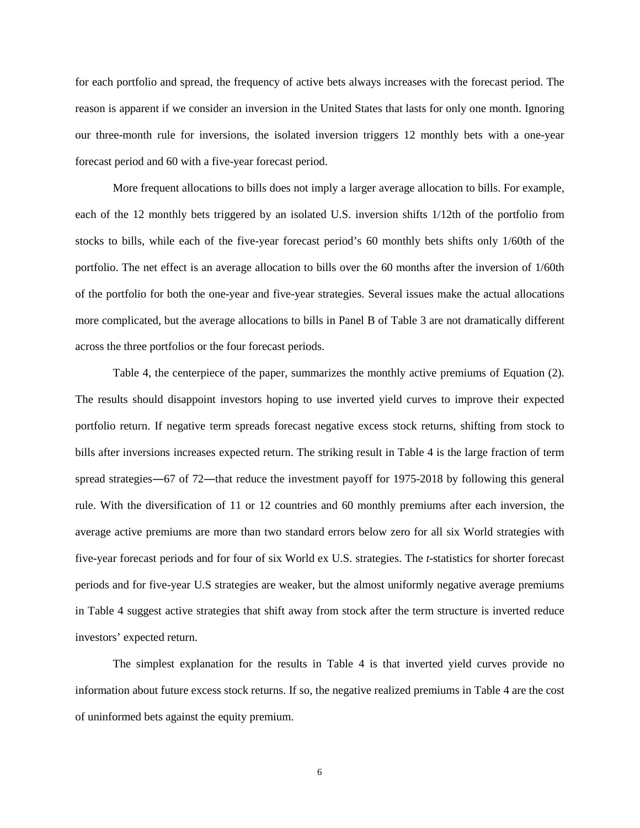for each portfolio and spread, the frequency of active bets always increases with the forecast period. The reason is apparent if we consider an inversion in the United States that lasts for only one month. Ignoring our three-month rule for inversions, the isolated inversion triggers 12 monthly bets with a one-year forecast period and 60 with a five-year forecast period.

More frequent allocations to bills does not imply a larger average allocation to bills. For example, each of the 12 monthly bets triggered by an isolated U.S. inversion shifts 1/12th of the portfolio from stocks to bills, while each of the five-year forecast period's 60 monthly bets shifts only 1/60th of the portfolio. The net effect is an average allocation to bills over the 60 months after the inversion of 1/60th of the portfolio for both the one-year and five-year strategies. Several issues make the actual allocations more complicated, but the average allocations to bills in Panel B of Table 3 are not dramatically different across the three portfolios or the four forecast periods.

Table 4, the centerpiece of the paper, summarizes the monthly active premiums of Equation (2). The results should disappoint investors hoping to use inverted yield curves to improve their expected portfolio return. If negative term spreads forecast negative excess stock returns, shifting from stock to bills after inversions increases expected return. The striking result in Table 4 is the large fraction of term spread strategies—67 of 72—that reduce the investment payoff for 1975-2018 by following this general rule. With the diversification of 11 or 12 countries and 60 monthly premiums after each inversion, the average active premiums are more than two standard errors below zero for all six World strategies with five-year forecast periods and for four of six World ex U.S. strategies. The *t*-statistics for shorter forecast periods and for five-year U.S strategies are weaker, but the almost uniformly negative average premiums in Table 4 suggest active strategies that shift away from stock after the term structure is inverted reduce investors' expected return.

The simplest explanation for the results in Table 4 is that inverted yield curves provide no information about future excess stock returns. If so, the negative realized premiums in Table 4 are the cost of uninformed bets against the equity premium.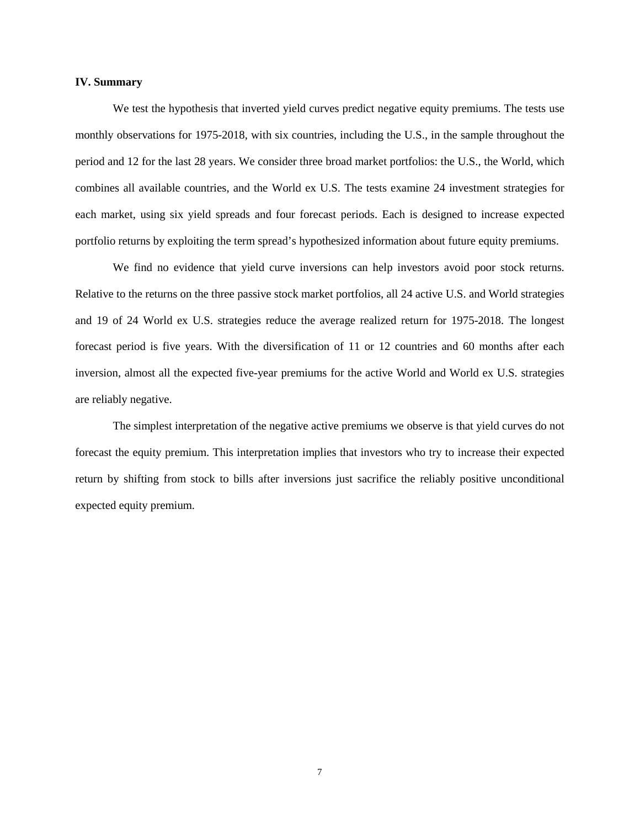### **IV. Summary**

We test the hypothesis that inverted yield curves predict negative equity premiums. The tests use monthly observations for 1975-2018, with six countries, including the U.S., in the sample throughout the period and 12 for the last 28 years. We consider three broad market portfolios: the U.S., the World, which combines all available countries, and the World ex U.S. The tests examine 24 investment strategies for each market, using six yield spreads and four forecast periods. Each is designed to increase expected portfolio returns by exploiting the term spread's hypothesized information about future equity premiums.

We find no evidence that yield curve inversions can help investors avoid poor stock returns. Relative to the returns on the three passive stock market portfolios, all 24 active U.S. and World strategies and 19 of 24 World ex U.S. strategies reduce the average realized return for 1975-2018. The longest forecast period is five years. With the diversification of 11 or 12 countries and 60 months after each inversion, almost all the expected five-year premiums for the active World and World ex U.S. strategies are reliably negative.

The simplest interpretation of the negative active premiums we observe is that yield curves do not forecast the equity premium. This interpretation implies that investors who try to increase their expected return by shifting from stock to bills after inversions just sacrifice the reliably positive unconditional expected equity premium.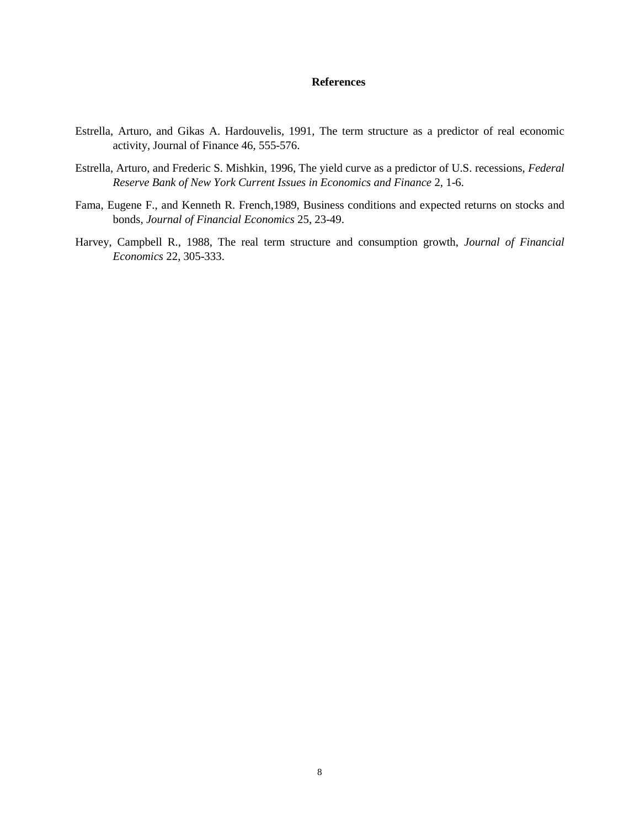## **References**

- Estrella, Arturo, and Gikas A. Hardouvelis, 1991, The term structure as a predictor of real economic activity, Journal of Finance 46, 555-576.
- Estrella, Arturo, and Frederic S. Mishkin, 1996, The yield curve as a predictor of U.S. recessions, *Federal Reserve Bank of New York Current Issues in Economics and Finance* 2, 1-6.
- Fama, Eugene F., and Kenneth R. French,1989, Business conditions and expected returns on stocks and bonds, *Journal of Financial Economics* 25, 23-49.
- Harvey, Campbell R., 1988, The real term structure and consumption growth, *Journal of Financial Economics* 22, 305-333.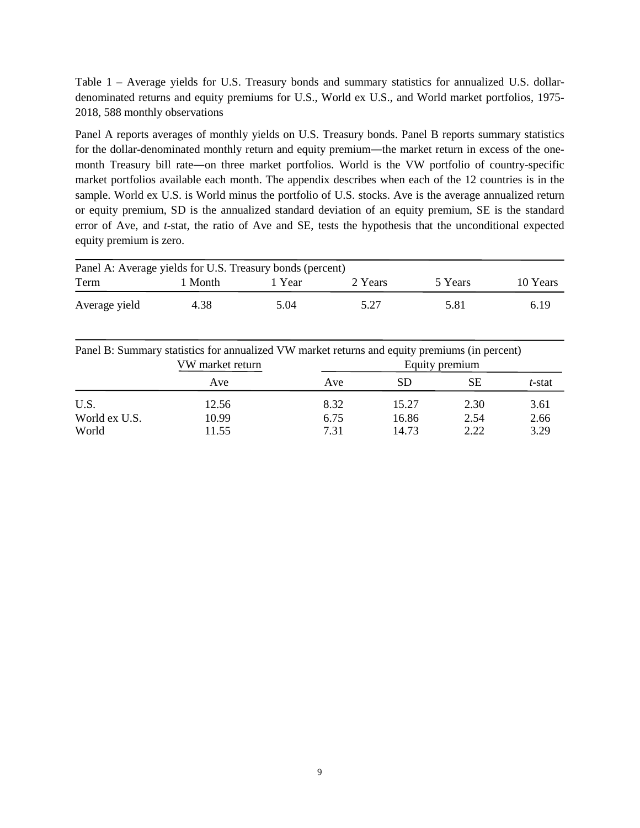Table 1 – Average yields for U.S. Treasury bonds and summary statistics for annualized U.S. dollardenominated returns and equity premiums for U.S., World ex U.S., and World market portfolios, 1975- 2018, 588 monthly observations

Panel A reports averages of monthly yields on U.S. Treasury bonds. Panel B reports summary statistics for the dollar-denominated monthly return and equity premium—the market return in excess of the onemonth Treasury bill rate―on three market portfolios. World is the VW portfolio of country-specific market portfolios available each month. The appendix describes when each of the 12 countries is in the sample. World ex U.S. is World minus the portfolio of U.S. stocks. Ave is the average annualized return or equity premium, SD is the annualized standard deviation of an equity premium, SE is the standard error of Ave, and *t*-stat, the ratio of Ave and SE, tests the hypothesis that the unconditional expected equity premium is zero.

| Panel A: Average yields for U.S. Treasury bonds (percent) |       |        |         |         |          |  |  |  |  |  |
|-----------------------------------------------------------|-------|--------|---------|---------|----------|--|--|--|--|--|
| Term                                                      | Month | r Year | 2 Years | 5 Years | 10 Years |  |  |  |  |  |
| Average yield                                             | 4.38  | 5.04   | 5.27    | 5.81    | 6.19     |  |  |  |  |  |

Panel B: Summary statistics for annualized VW market returns and equity premiums (in percent)<br>VW market return<br>Equity premium VW market return

|               | V VV IIIAI NOL I OLUI II |      | Equity premium |      |        |  |  |  |  |
|---------------|--------------------------|------|----------------|------|--------|--|--|--|--|
|               | Ave                      | Ave  | <b>SD</b>      | SЕ   | t-stat |  |  |  |  |
| U.S.          | 12.56                    | 8.32 | 15.27          | 2.30 | 3.61   |  |  |  |  |
| World ex U.S. | 10.99                    | 6.75 | 16.86          | 2.54 | 2.66   |  |  |  |  |
| World         | 11.55                    | 7.31 | 14.73          | 2.22 | 3.29   |  |  |  |  |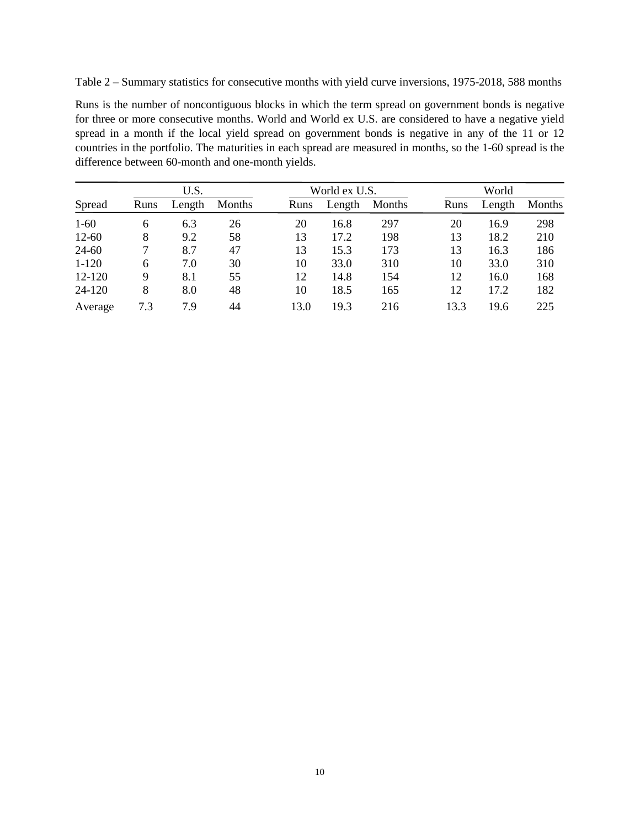Table 2 – Summary statistics for consecutive months with yield curve inversions, 1975-2018, 588 months

Runs is the number of noncontiguous blocks in which the term spread on government bonds is negative for three or more consecutive months. World and World ex U.S. are considered to have a negative yield spread in a month if the local yield spread on government bonds is negative in any of the 11 or 12 countries in the portfolio. The maturities in each spread are measured in months, so the 1-60 spread is the difference between 60-month and one-month yields.

|           |      | U.S.   |        |      | World ex U.S. |        | World |        |        |  |
|-----------|------|--------|--------|------|---------------|--------|-------|--------|--------|--|
| Spread    | Runs | Length | Months | Runs | Length        | Months | Runs  | Length | Months |  |
| $1-60$    | 6    | 6.3    | 26     | 20   | 16.8          | 297    | 20    | 16.9   | 298    |  |
| $12 - 60$ | 8    | 9.2    | 58     | 13   | 17.2          | 198    | 13    | 18.2   | 210    |  |
| 24-60     |      | 8.7    | 47     | 13   | 15.3          | 173    | 13    | 16.3   | 186    |  |
| $1-120$   | 6    | 7.0    | 30     | 10   | 33.0          | 310    | 10    | 33.0   | 310    |  |
| 12-120    | 9    | 8.1    | 55     | 12   | 14.8          | 154    | 12    | 16.0   | 168    |  |
| 24-120    | 8    | 8.0    | 48     | 10   | 18.5          | 165    | 12    | 17.2   | 182    |  |
| Average   | 7.3  | 7.9    | 44     | 13.0 | 19.3          | 216    | 13.3  | 19.6   | 225    |  |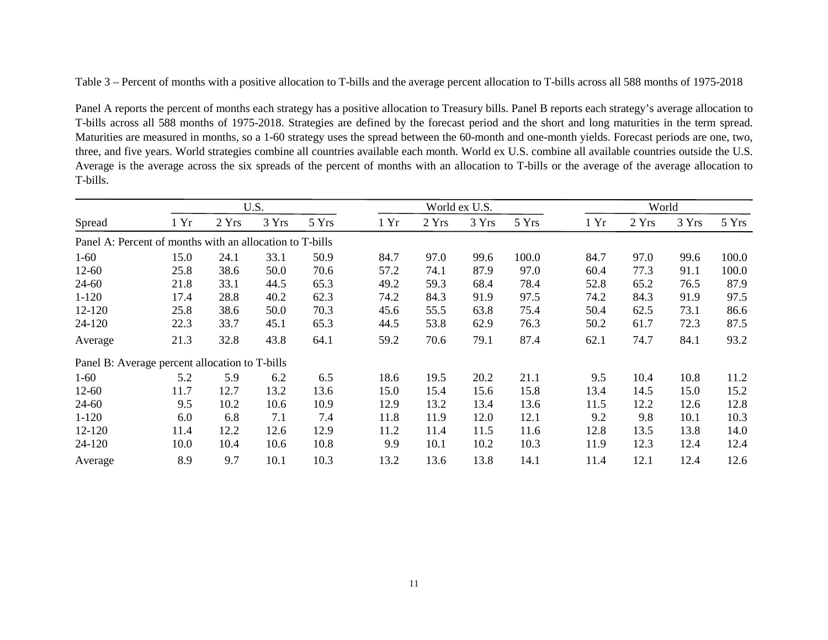Table 3 – Percent of months with a positive allocation to T-bills and the average percent allocation to T-bills across all 588 months of 1975-2018

Panel A reports the percent of months each strategy has a positive allocation to Treasury bills. Panel B reports each strategy's average allocation to T-bills across all 588 months of 1975-2018. Strategies are defined by the forecast period and the short and long maturities in the term spread. Maturities are measured in months, so a 1-60 strategy uses the spread between the 60-month and one-month yields. Forecast periods are one, two, three, and five years. World strategies combine all countries available each month. World ex U.S. combine all available countries outside the U.S. Average is the average across the six spreads of the percent of months with an allocation to T-bills or the average of the average allocation to T-bills.

|                                                          | U.S. |       |       |       |      | World ex U.S. |       |       |      | World |       |       |  |
|----------------------------------------------------------|------|-------|-------|-------|------|---------------|-------|-------|------|-------|-------|-------|--|
| Spread                                                   | 1 Yr | 2 Yrs | 3 Yrs | 5 Yrs | 1 Yr | 2 Yrs         | 3 Yrs | 5 Yrs | 1 Yr | 2 Yrs | 3 Yrs | 5 Yrs |  |
| Panel A: Percent of months with an allocation to T-bills |      |       |       |       |      |               |       |       |      |       |       |       |  |
| $1-60$                                                   | 15.0 | 24.1  | 33.1  | 50.9  | 84.7 | 97.0          | 99.6  | 100.0 | 84.7 | 97.0  | 99.6  | 100.0 |  |
| $12 - 60$                                                | 25.8 | 38.6  | 50.0  | 70.6  | 57.2 | 74.1          | 87.9  | 97.0  | 60.4 | 77.3  | 91.1  | 100.0 |  |
| 24-60                                                    | 21.8 | 33.1  | 44.5  | 65.3  | 49.2 | 59.3          | 68.4  | 78.4  | 52.8 | 65.2  | 76.5  | 87.9  |  |
| $1 - 120$                                                | 17.4 | 28.8  | 40.2  | 62.3  | 74.2 | 84.3          | 91.9  | 97.5  | 74.2 | 84.3  | 91.9  | 97.5  |  |
| 12-120                                                   | 25.8 | 38.6  | 50.0  | 70.3  | 45.6 | 55.5          | 63.8  | 75.4  | 50.4 | 62.5  | 73.1  | 86.6  |  |
| 24-120                                                   | 22.3 | 33.7  | 45.1  | 65.3  | 44.5 | 53.8          | 62.9  | 76.3  | 50.2 | 61.7  | 72.3  | 87.5  |  |
| Average                                                  | 21.3 | 32.8  | 43.8  | 64.1  | 59.2 | 70.6          | 79.1  | 87.4  | 62.1 | 74.7  | 84.1  | 93.2  |  |
| Panel B: Average percent allocation to T-bills           |      |       |       |       |      |               |       |       |      |       |       |       |  |
| $1-60$                                                   | 5.2  | 5.9   | 6.2   | 6.5   | 18.6 | 19.5          | 20.2  | 21.1  | 9.5  | 10.4  | 10.8  | 11.2  |  |
| $12 - 60$                                                | 11.7 | 12.7  | 13.2  | 13.6  | 15.0 | 15.4          | 15.6  | 15.8  | 13.4 | 14.5  | 15.0  | 15.2  |  |
| 24-60                                                    | 9.5  | 10.2  | 10.6  | 10.9  | 12.9 | 13.2          | 13.4  | 13.6  | 11.5 | 12.2  | 12.6  | 12.8  |  |
| $1 - 120$                                                | 6.0  | 6.8   | 7.1   | 7.4   | 11.8 | 11.9          | 12.0  | 12.1  | 9.2  | 9.8   | 10.1  | 10.3  |  |
| 12-120                                                   | 11.4 | 12.2  | 12.6  | 12.9  | 11.2 | 11.4          | 11.5  | 11.6  | 12.8 | 13.5  | 13.8  | 14.0  |  |
| 24-120                                                   | 10.0 | 10.4  | 10.6  | 10.8  | 9.9  | 10.1          | 10.2  | 10.3  | 11.9 | 12.3  | 12.4  | 12.4  |  |
| Average                                                  | 8.9  | 9.7   | 10.1  | 10.3  | 13.2 | 13.6          | 13.8  | 14.1  | 11.4 | 12.1  | 12.4  | 12.6  |  |